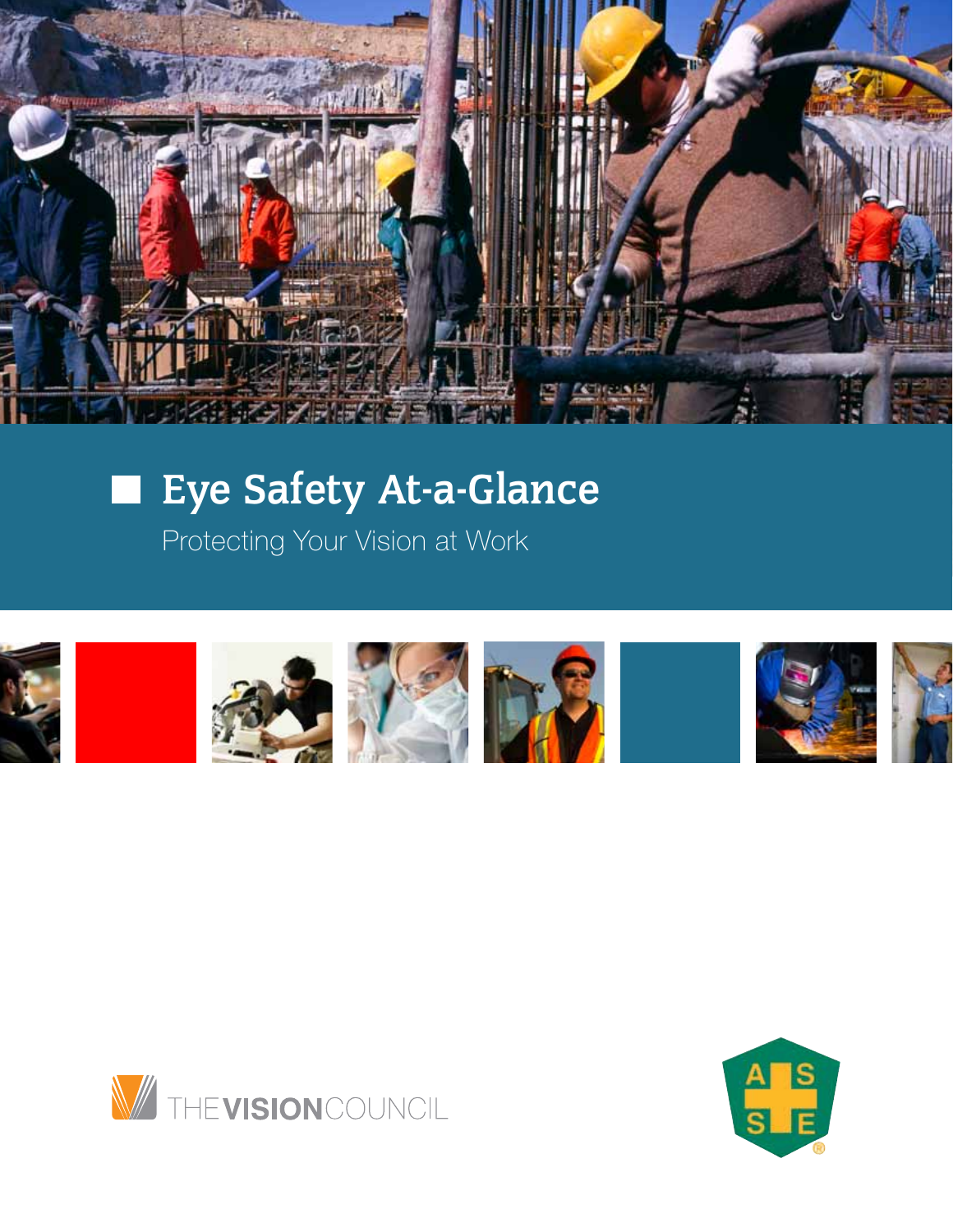

# Eye Safety At-a-Glance

Protecting Your Vision at Work





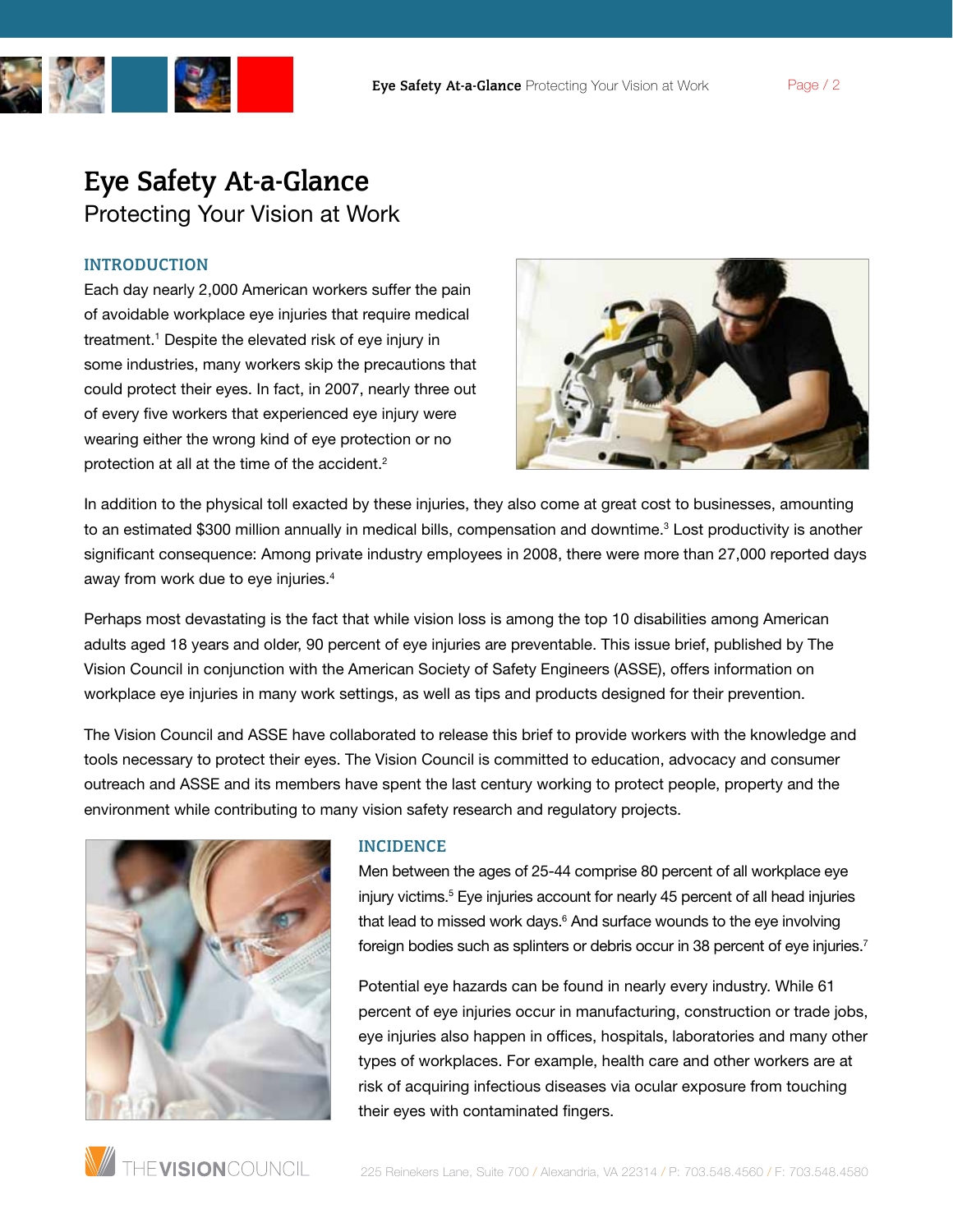

## INTRODUCTION

Each day nearly 2,000 American workers suffer the pain of avoidable workplace eye injuries that require medical treatment.1 Despite the elevated risk of eye injury in some industries, many workers skip the precautions that could protect their eyes. In fact, in 2007, nearly three out of every five workers that experienced eye injury were wearing either the wrong kind of eye protection or no protection at all at the time of the accident.<sup>2</sup>



In addition to the physical toll exacted by these injuries, they also come at great cost to businesses, amounting to an estimated \$300 million annually in medical bills, compensation and downtime.<sup>3</sup> Lost productivity is another significant consequence: Among private industry employees in 2008, there were more than 27,000 reported days away from work due to eye injuries.4

Perhaps most devastating is the fact that while vision loss is among the top 10 disabilities among American adults aged 18 years and older, 90 percent of eye injuries are preventable. This issue brief, published by The Vision Council in conjunction with the American Society of Safety Engineers (ASSE), offers information on workplace eye injuries in many work settings, as well as tips and products designed for their prevention.

The Vision Council and ASSE have collaborated to release this brief to provide workers with the knowledge and tools necessary to protect their eyes. The Vision Council is committed to education, advocacy and consumer outreach and ASSE and its members have spent the last century working to protect people, property and the environment while contributing to many vision safety research and regulatory projects.



#### INCIDENCE

Men between the ages of 25-44 comprise 80 percent of all workplace eye injury victims.<sup>5</sup> Eye injuries account for nearly 45 percent of all head injuries that lead to missed work days.<sup>6</sup> And surface wounds to the eye involving foreign bodies such as splinters or debris occur in 38 percent of eye injuries.<sup>7</sup>

Potential eye hazards can be found in nearly every industry. While 61 percent of eye injuries occur in manufacturing, construction or trade jobs, eye injuries also happen in offices, hospitals, laboratories and many other types of workplaces. For example, health care and other workers are at risk of acquiring infectious diseases via ocular exposure from touching their eyes with contaminated fingers.

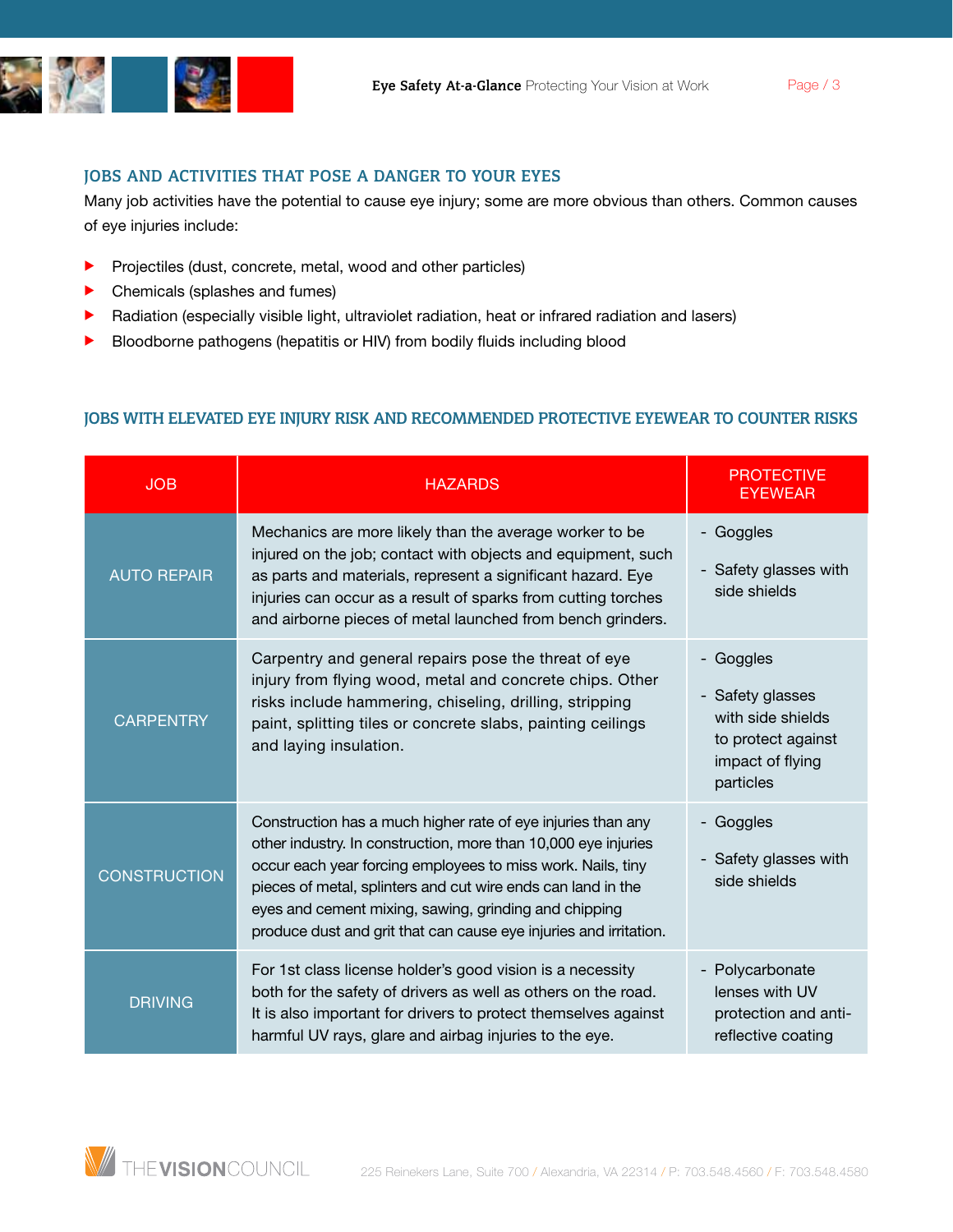

Many job activities have the potential to cause eye injury; some are more obvious than others. Common causes of eye injuries include:

- Projectiles (dust, concrete, metal, wood and other particles)
- Chemicals (splashes and fumes)
- Radiation (especially visible light, ultraviolet radiation, heat or infrared radiation and lasers)
- Bloodborne pathogens (hepatitis or HIV) from bodily fluids including blood

## Jobs with elevated eye injury risk and Recommended protective eyewear to counter risks

| <b>JOB</b>          | <b>HAZARDS</b>                                                                                                                                                                                                                                                                                                                                                                              | <b>PROTECTIVE</b><br><b>EYEWEAR</b>                                                                     |
|---------------------|---------------------------------------------------------------------------------------------------------------------------------------------------------------------------------------------------------------------------------------------------------------------------------------------------------------------------------------------------------------------------------------------|---------------------------------------------------------------------------------------------------------|
| <b>AUTO REPAIR</b>  | Mechanics are more likely than the average worker to be<br>injured on the job; contact with objects and equipment, such<br>as parts and materials, represent a significant hazard. Eye<br>injuries can occur as a result of sparks from cutting torches<br>and airborne pieces of metal launched from bench grinders.                                                                       | - Goggles<br>- Safety glasses with<br>side shields                                                      |
| <b>CARPENTRY</b>    | Carpentry and general repairs pose the threat of eye<br>injury from flying wood, metal and concrete chips. Other<br>risks include hammering, chiseling, drilling, stripping<br>paint, splitting tiles or concrete slabs, painting ceilings<br>and laying insulation.                                                                                                                        | Goggles<br>- Safety glasses<br>with side shields<br>to protect against<br>impact of flying<br>particles |
| <b>CONSTRUCTION</b> | Construction has a much higher rate of eye injuries than any<br>other industry. In construction, more than 10,000 eye injuries<br>occur each year forcing employees to miss work. Nails, tiny<br>pieces of metal, splinters and cut wire ends can land in the<br>eyes and cement mixing, sawing, grinding and chipping<br>produce dust and grit that can cause eye injuries and irritation. | Goggles<br>$\overline{\phantom{0}}$<br>- Safety glasses with<br>side shields                            |
| <b>DRIVING</b>      | For 1st class license holder's good vision is a necessity<br>both for the safety of drivers as well as others on the road.<br>It is also important for drivers to protect themselves against<br>harmful UV rays, glare and airbag injuries to the eye.                                                                                                                                      | Polycarbonate<br>lenses with UV<br>protection and anti-<br>reflective coating                           |

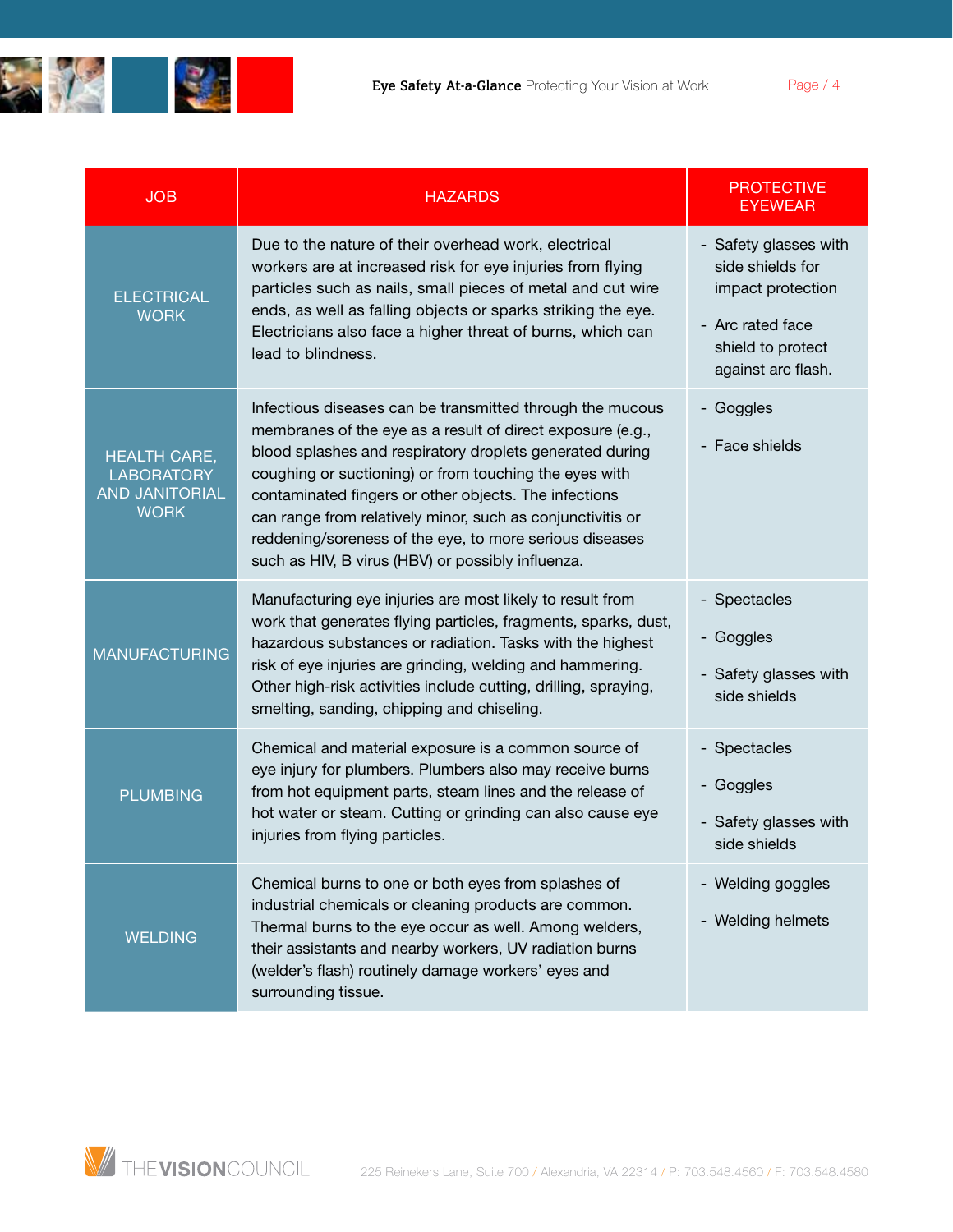

| <b>JOB</b>                                                                       | <b>HAZARDS</b>                                                                                                                                                                                                                                                                                                                                                                                                                                                                       | <b>PROTECTIVE</b><br>EYEWEAR                                                                                                  |
|----------------------------------------------------------------------------------|--------------------------------------------------------------------------------------------------------------------------------------------------------------------------------------------------------------------------------------------------------------------------------------------------------------------------------------------------------------------------------------------------------------------------------------------------------------------------------------|-------------------------------------------------------------------------------------------------------------------------------|
| <b>ELECTRICAL</b><br><b>WORK</b>                                                 | Due to the nature of their overhead work, electrical<br>workers are at increased risk for eye injuries from flying<br>particles such as nails, small pieces of metal and cut wire<br>ends, as well as falling objects or sparks striking the eye.<br>Electricians also face a higher threat of burns, which can<br>lead to blindness.                                                                                                                                                | - Safety glasses with<br>side shields for<br>impact protection<br>- Arc rated face<br>shield to protect<br>against arc flash. |
| <b>HEALTH CARE,</b><br><b>LABORATORY</b><br><b>AND JANITORIAL</b><br><b>WORK</b> | Infectious diseases can be transmitted through the mucous<br>membranes of the eye as a result of direct exposure (e.g.,<br>blood splashes and respiratory droplets generated during<br>coughing or suctioning) or from touching the eyes with<br>contaminated fingers or other objects. The infections<br>can range from relatively minor, such as conjunctivitis or<br>reddening/soreness of the eye, to more serious diseases<br>such as HIV, B virus (HBV) or possibly influenza. | - Goggles<br>- Face shields                                                                                                   |
| <b>MANUFACTURING</b>                                                             | Manufacturing eye injuries are most likely to result from<br>work that generates flying particles, fragments, sparks, dust,<br>hazardous substances or radiation. Tasks with the highest<br>risk of eye injuries are grinding, welding and hammering.<br>Other high-risk activities include cutting, drilling, spraying,<br>smelting, sanding, chipping and chiseling.                                                                                                               | - Spectacles<br>- Goggles<br>- Safety glasses with<br>side shields                                                            |
| <b>PLUMBING</b>                                                                  | Chemical and material exposure is a common source of<br>eye injury for plumbers. Plumbers also may receive burns<br>from hot equipment parts, steam lines and the release of<br>hot water or steam. Cutting or grinding can also cause eye<br>injuries from flying particles.                                                                                                                                                                                                        | - Spectacles<br>- Goggles<br>- Safety glasses with<br>side shields                                                            |
| <b>WELDING</b>                                                                   | Chemical burns to one or both eyes from splashes of<br>industrial chemicals or cleaning products are common.<br>Thermal burns to the eye occur as well. Among welders,<br>their assistants and nearby workers, UV radiation burns<br>(welder's flash) routinely damage workers' eyes and<br>surrounding tissue.                                                                                                                                                                      | - Welding goggles<br>- Welding helmets                                                                                        |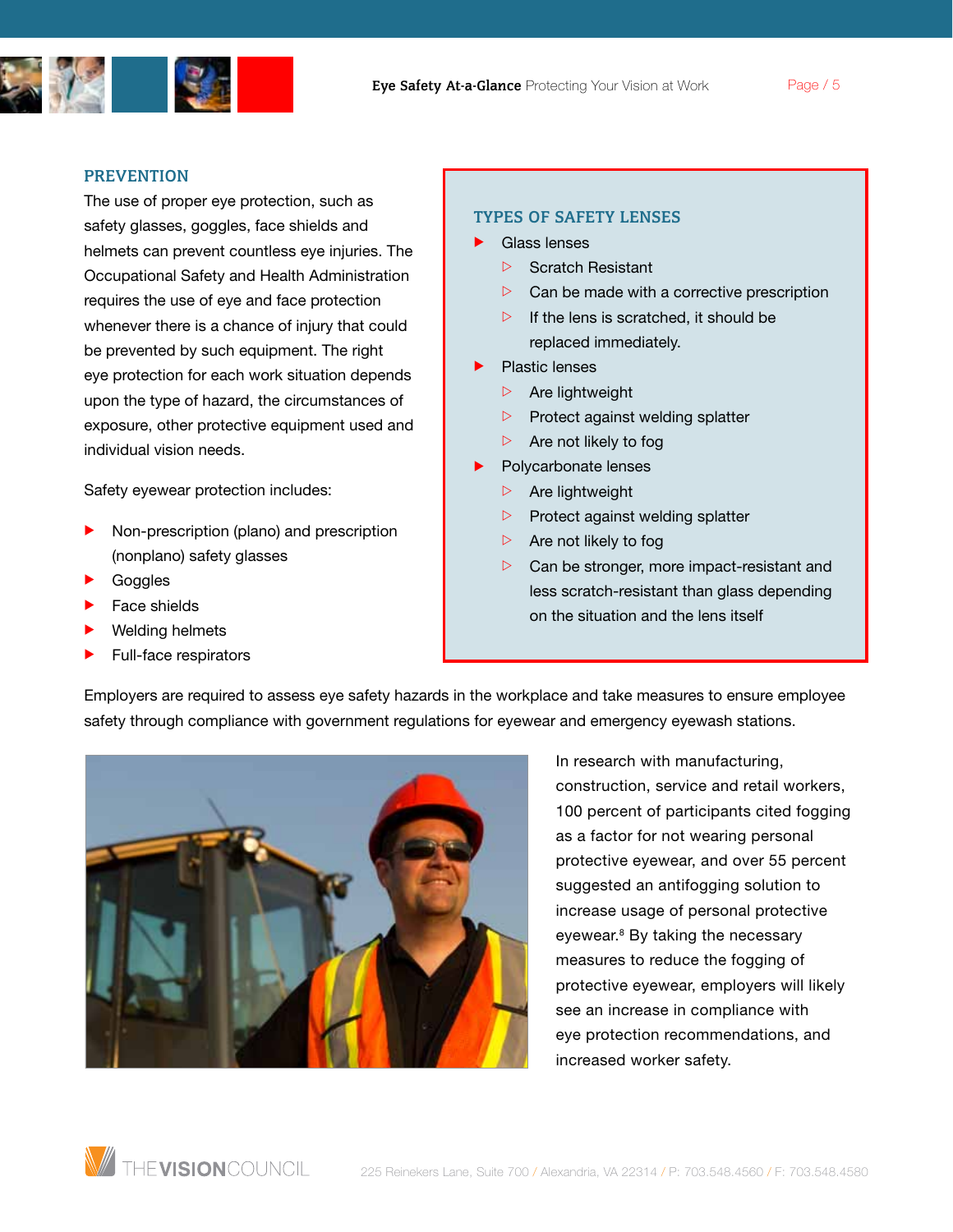

#### PREVENTION

The use of proper eye protection, such as safety glasses, goggles, face shields and helmets can prevent countless eye injuries. The Occupational Safety and Health Administration requires the use of eye and face protection whenever there is a chance of injury that could be prevented by such equipment. The right eye protection for each work situation depends upon the type of hazard, the circumstances of exposure, other protective equipment used and individual vision needs.

Safety eyewear protection includes:

- Non-prescription (plano) and prescription (nonplano) safety glasses
- Goggles
- Face shields
- Welding helmets
- Full-face respirators

#### Types of Safety Lenses

- Glass lenses
	- $\triangleright$  Scratch Resistant
	- $\triangleright$  Can be made with a corrective prescription
	- $\triangleright$  If the lens is scratched, it should be replaced immediately.
- Plastic lenses

Employers are required to assess eye safety hazards in the workplace and take measures to ensure employee

safety through compliance with government regulations for eyewear and emergency eyewash stations.

- $\triangleright$  Are lightweight
- $\triangleright$  Protect against welding splatter
- $\triangleright$  Are not likely to fog
- Polycarbonate lenses
	- $\triangleright$  Are lightweight
	- $\triangleright$  Protect against welding splatter
	- $\triangleright$  Are not likely to fog
	- $\triangleright$  Can be stronger, more impact-resistant and less scratch-resistant than glass depending on the situation and the lens itself



In research with manufacturing, construction, service and retail workers, 100 percent of participants cited fogging as a factor for not wearing personal protective eyewear, and over 55 percent suggested an antifogging solution to increase usage of personal protective eyewear.<sup>8</sup> By taking the necessary measures to reduce the fogging of protective eyewear, employers will likely see an increase in compliance with eye protection recommendations, and increased worker safety.

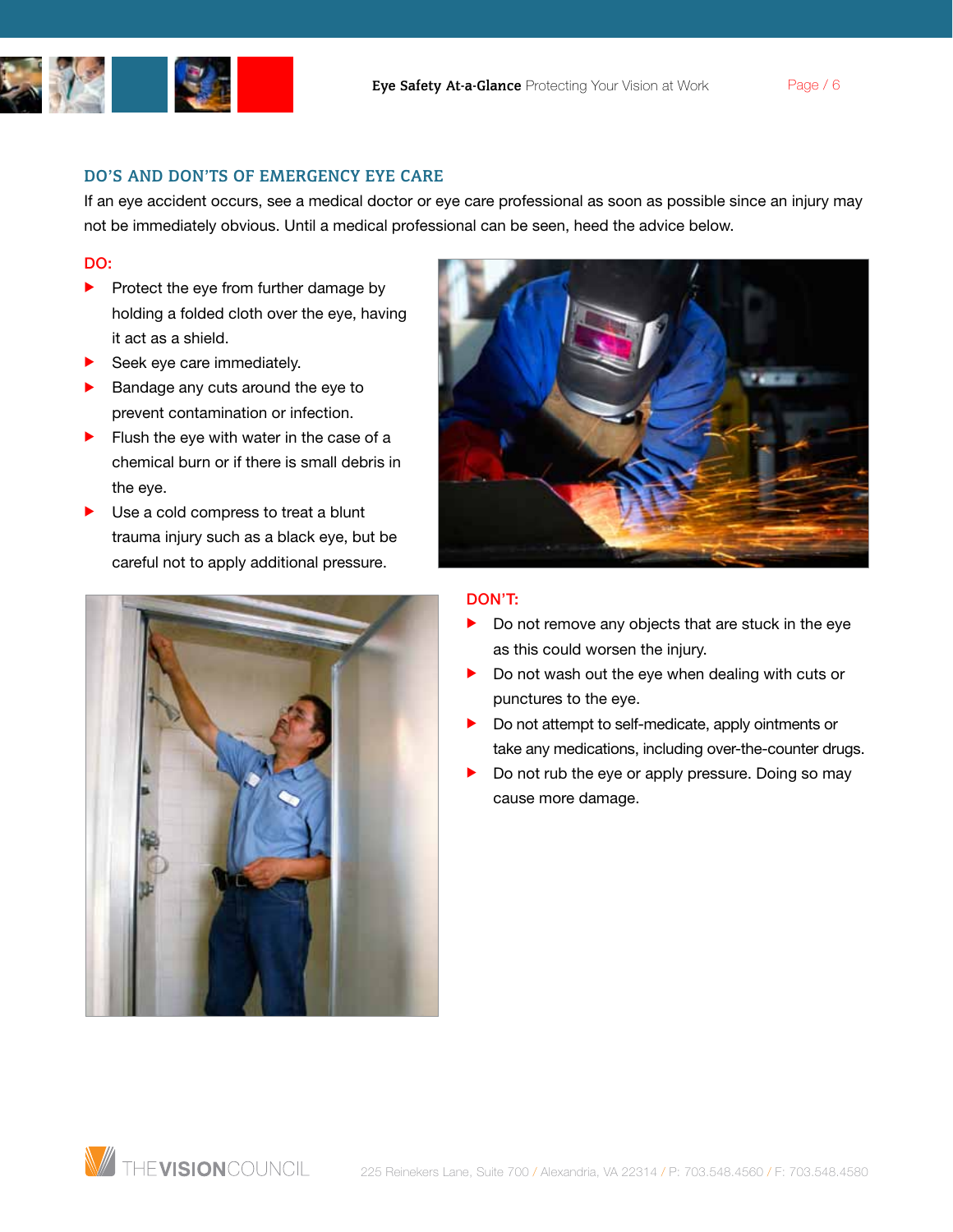

Do's and Don'ts of Emergency Eye Care

If an eye accident occurs, see a medical doctor or eye care professional as soon as possible since an injury may not be immediately obvious. Until a medical professional can be seen, heed the advice below.

### Do:

- $\blacktriangleright$  Protect the eye from further damage by holding a folded cloth over the eye, having it act as a shield.
- Seek eye care immediately.
- Bandage any cuts around the eye to prevent contamination or infection.
- Flush the eye with water in the case of a chemical burn or if there is small debris in the eye.
- Use a cold compress to treat a blunt trauma injury such as a black eye, but be careful not to apply additional pressure.





## Don't:

- Do not remove any objects that are stuck in the eye as this could worsen the injury.
- $\triangleright$  Do not wash out the eye when dealing with cuts or punctures to the eye.
- $\blacktriangleright$  Do not attempt to self-medicate, apply ointments or take any medications, including over-the-counter drugs.
- Do not rub the eye or apply pressure. Doing so may cause more damage.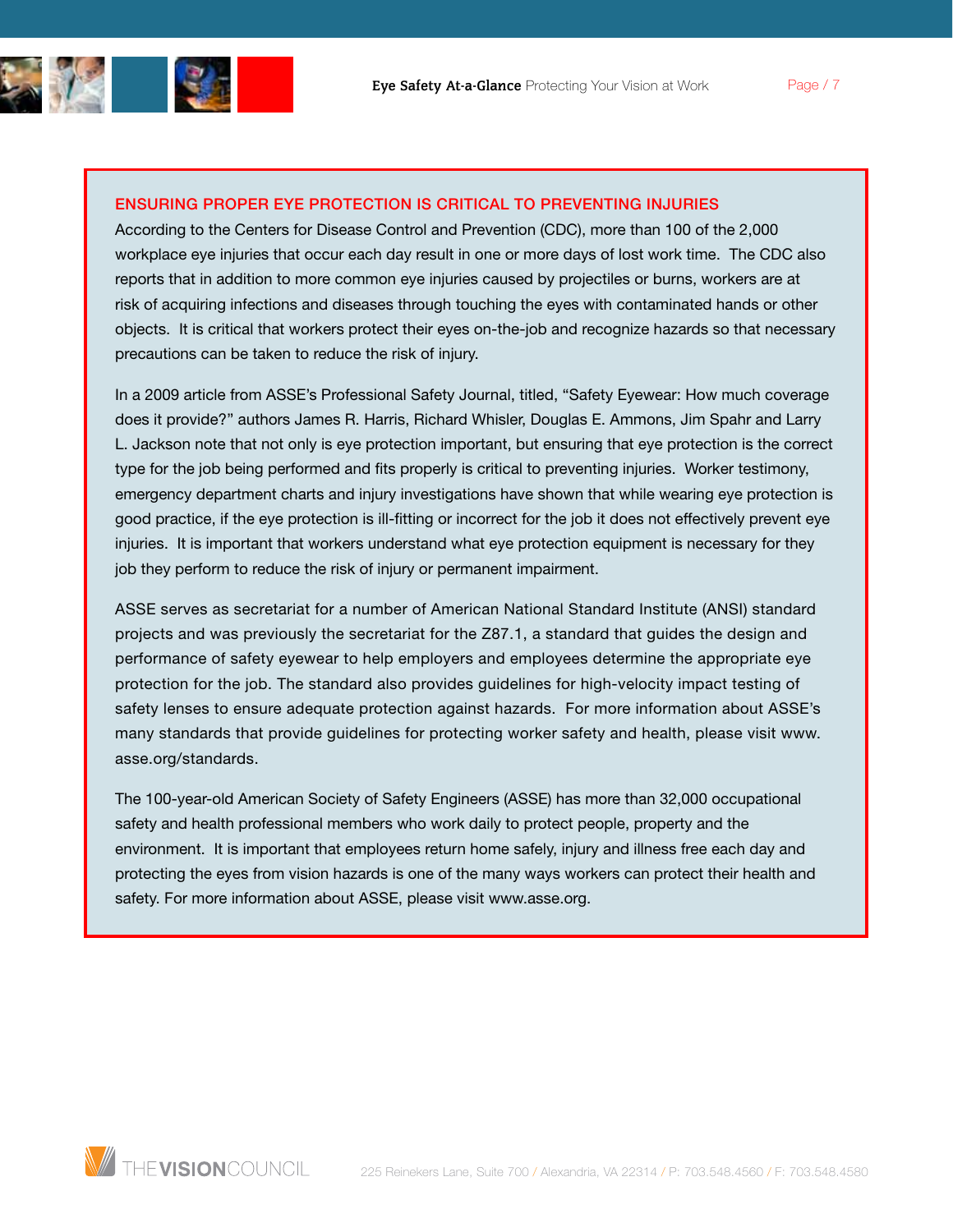

According to the Centers for Disease Control and Prevention (CDC), more than 100 of the 2,000 workplace eye injuries that occur each day result in one or more days of lost work time. The CDC also reports that in addition to more common eye injuries caused by projectiles or burns, workers are at risk of acquiring infections and diseases through touching the eyes with contaminated hands or other objects. It is critical that workers protect their eyes on-the-job and recognize hazards so that necessary precautions can be taken to reduce the risk of injury.

In a 2009 article from ASSE's Professional Safety Journal, titled, "Safety Eyewear: How much coverage does it provide?" authors James R. Harris, Richard Whisler, Douglas E. Ammons, Jim Spahr and Larry L. Jackson note that not only is eye protection important, but ensuring that eye protection is the correct type for the job being performed and fits properly is critical to preventing injuries. Worker testimony, emergency department charts and injury investigations have shown that while wearing eye protection is good practice, if the eye protection is ill-fitting or incorrect for the job it does not effectively prevent eye injuries. It is important that workers understand what eye protection equipment is necessary for they job they perform to reduce the risk of injury or permanent impairment.

ASSE serves as secretariat for a number of American National Standard Institute (ANSI) standard projects and was previously the secretariat for the Z87.1, a standard that guides the design and performance of safety eyewear to help employers and employees determine the appropriate eye protection for the job. The standard also provides guidelines for high-velocity impact testing of safety lenses to ensure adequate protection against hazards. For more information about ASSE's many standards that provide guidelines for protecting worker safety and health, please visit www. asse.org/standards.

The 100-year-old American Society of Safety Engineers (ASSE) has more than 32,000 occupational safety and health professional members who work daily to protect people, property and the environment. It is important that employees return home safely, injury and illness free each day and protecting the eyes from vision hazards is one of the many ways workers can protect their health and safety. For more information about ASSE, please visit www.asse.org.